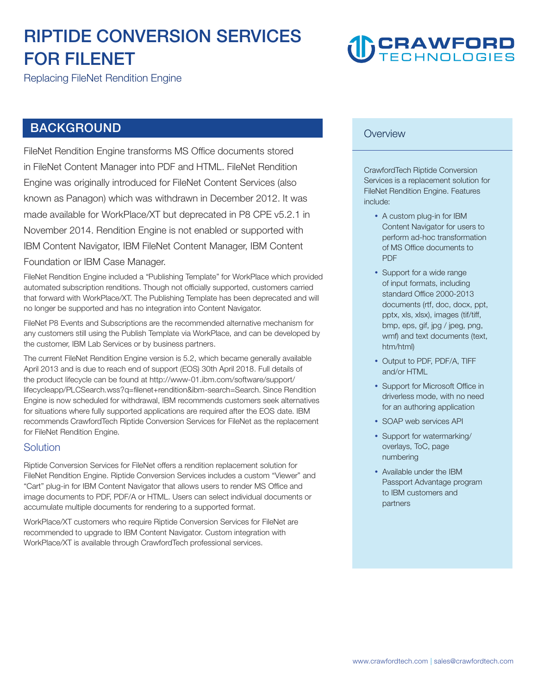# **RIPTIDE CONVERSION SERVICES FOR FILENET**

# **DCRAWFORD**

**Replacing FileNet Rendition Engine** 

## **BACKGROUND**

**FileNet Rendition Engine transforms MS Office documents stored in FileNet Content Manager into PDF and HTML. FileNet Rendition Engine was originally introduced for FileNet Content Services (also known as Panagon) which was withdrawn in December 2012. It was made available for WorkPlace/XT but deprecated in P8 CPE v5.2.1 in November 2014. Rendition Engine is not enabled or supported with IBM Content Navigator, IBM FileNet Content Manager, IBM Content Foundation or IBM Case Manager.** 

**FileNet Rendition Engine included a "Publishing Template" for WorkPlace which provided automated subscription renditions. Though not officially supported, customers carried that forward with WorkPlace/XT. The Publishing Template has been deprecated and will no longer be supported and has no integration into Content Navigator.** 

**FileNet P8 Events and Subscriptions are the recommended alternative mechanism for any customers still using the Publish Template via WorkPlace, and can be developed by the customer, IBM Lab Services or by business partners.** 

**The current FileNet Rendition Engine version is 5.2, which became generally available April 2013 and is due to reach end of support (EOS) 30th April 2018. Full details of the product lifecycle can be found at <http://www-01.ibm.com/software/support/> lifecycleapp/PLCSearch.wss?q=filenet+rendition&ibm-search=Search. Since Rendition Engine is now scheduled for withdrawal, IBM recommends customers seek alternatives for situations where fully supported applications are required after the EOS date. IBM recommends CrawfordTech Riptide Conversion Services for FileNet as the replacement for FileNet Rendition Engine.** 

#### **Solution**

**Riptide Conversion Services for FileNet offers a rendition replacement solution for FileNet Rendition Engine. Riptide Conversion Services includes a custom "Viewer" and "Cart" plug-in for IBM Content Navigator that allows users to render MS Office and image documents to PDF, PDF/A or HTML. Users can select individual documents or accumulate multiple documents for rendering to a supported format.** 

**WorkPlace/XT customers who require Riptide Conversion Services for FileNet are recommended to upgrade to IBM Content Navigator. Custom integration with WorkPlace/XT is available through CrawfordTech professional services.** 

#### **Overview**

**CrawfordTech Riptide Conversion Services is a replacement solution for FileNet Rendition Engine. Features include:** 

- **A custom plug-in for IBM Content Navigator for users to perform ad-hoc transformation of MS Office documents to PDF**
- **Support for a wide range of input formats, including standard Office 2000-2013 documents (rtf, doc, docx, ppt, pptx, xls, xlsx), images (tif/tiff, bmp, eps, gif, jpg / jpeg, png, wmf) and text documents (text, htm/html)**
- **Output to PDF, PDF/A, TIFF and/or HTML**
- **Support for Microsoft Office in driverless mode, with no need for an authoring application**
- **SOAP web services API**
- **Support for watermarking/ overlays, ToC, page numbering**
- **Available under the IBM Passport Advantage program to IBM customers and partners**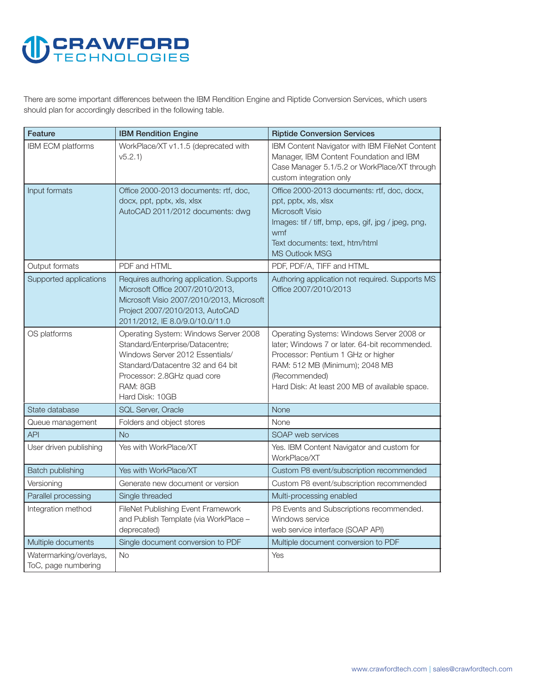# **U CRAWFORD**

**There are some important differences between the IBM Rendition Engine and Riptide Conversion Services, which users should plan for accordingly described in the following table.** 

| Feature                                       | <b>IBM Rendition Engine</b>                                                                                                                                                                                    | <b>Riptide Conversion Services</b>                                                                                                                                                                                                     |
|-----------------------------------------------|----------------------------------------------------------------------------------------------------------------------------------------------------------------------------------------------------------------|----------------------------------------------------------------------------------------------------------------------------------------------------------------------------------------------------------------------------------------|
| <b>IBM ECM platforms</b>                      | WorkPlace/XT v1.1.5 (deprecated with<br>v5.2.1                                                                                                                                                                 | IBM Content Navigator with IBM FileNet Content<br>Manager, IBM Content Foundation and IBM<br>Case Manager 5.1/5.2 or WorkPlace/XT through<br>custom integration only                                                                   |
| Input formats                                 | Office 2000-2013 documents: rtf, doc,<br>docx, ppt, pptx, xls, xlsx<br>AutoCAD 2011/2012 documents: dwg                                                                                                        | Office 2000-2013 documents: rtf, doc, docx,<br>ppt, pptx, xls, xlsx<br><b>Microsoft Visio</b><br>Images: tif / tiff, bmp, eps, gif, jpg / jpeg, png,<br>wmf<br>Text documents: text, htm/html<br><b>MS Outlook MSG</b>                 |
| Output formats                                | PDF and HTML                                                                                                                                                                                                   | PDF, PDF/A, TIFF and HTML                                                                                                                                                                                                              |
| Supported applications                        | Requires authoring application. Supports<br>Microsoft Office 2007/2010/2013,<br>Microsoft Visio 2007/2010/2013, Microsoft<br>Project 2007/2010/2013, AutoCAD<br>2011/2012, IE 8.0/9.0/10.0/11.0                | Authoring application not required. Supports MS<br>Office 2007/2010/2013                                                                                                                                                               |
| OS platforms                                  | Operating System: Windows Server 2008<br>Standard/Enterprise/Datacentre;<br>Windows Server 2012 Essentials/<br>Standard/Datacentre 32 and 64 bit<br>Processor: 2.8GHz quad core<br>RAM: 8GB<br>Hard Disk: 10GB | Operating Systems: Windows Server 2008 or<br>later; Windows 7 or later. 64-bit recommended.<br>Processor: Pentium 1 GHz or higher<br>RAM: 512 MB (Minimum); 2048 MB<br>(Recommended)<br>Hard Disk: At least 200 MB of available space. |
| State database                                | <b>SQL Server, Oracle</b>                                                                                                                                                                                      | <b>None</b>                                                                                                                                                                                                                            |
| Queue management                              | Folders and object stores                                                                                                                                                                                      | None                                                                                                                                                                                                                                   |
| <b>API</b>                                    | <b>No</b>                                                                                                                                                                                                      | SOAP web services                                                                                                                                                                                                                      |
| User driven publishing                        | Yes with WorkPlace/XT                                                                                                                                                                                          | Yes. IBM Content Navigator and custom for<br>WorkPlace/XT                                                                                                                                                                              |
| <b>Batch publishing</b>                       | Yes with WorkPlace/XT                                                                                                                                                                                          | Custom P8 event/subscription recommended                                                                                                                                                                                               |
| Versioning                                    | Generate new document or version                                                                                                                                                                               | Custom P8 event/subscription recommended                                                                                                                                                                                               |
| Parallel processing                           | Single threaded                                                                                                                                                                                                | Multi-processing enabled                                                                                                                                                                                                               |
| Integration method                            | FileNet Publishing Event Framework<br>and Publish Template (via WorkPlace -<br>deprecated)                                                                                                                     | P8 Events and Subscriptions recommended.<br>Windows service<br>web service interface (SOAP API)                                                                                                                                        |
| Multiple documents                            | Single document conversion to PDF                                                                                                                                                                              | Multiple document conversion to PDF                                                                                                                                                                                                    |
| Watermarking/overlays,<br>ToC, page numbering | <b>No</b>                                                                                                                                                                                                      | Yes                                                                                                                                                                                                                                    |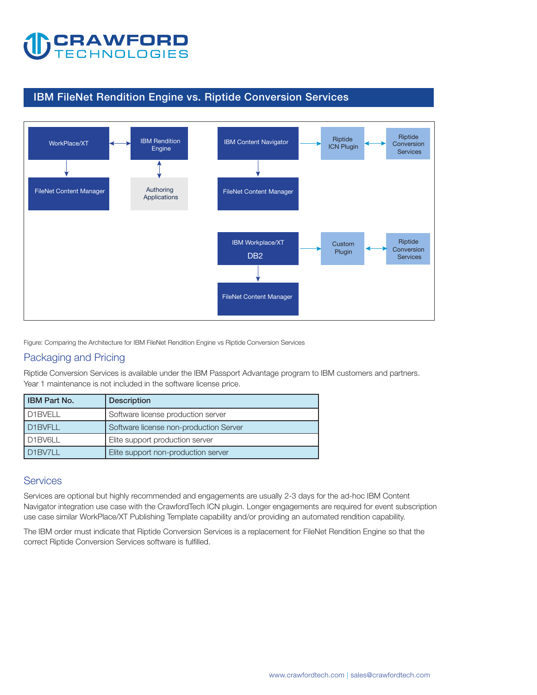

### **IBM FileNet Rendition Engine vs. Riptide Conversion Services**



**Figure: Comparing the Architecture for IBM FileNet Rendition Engine vs Riptide Conversion Services** 

### **Packaging and Pricing**

**Riptide Conversion Services is available under the IBM Passport Advantage program to IBM customers and partners. Year 1 maintenance is not included in the software license price.** 

| <b>IBM Part No.</b>              | <b>Description</b>                     |  |
|----------------------------------|----------------------------------------|--|
| D <sub>1</sub> BVELL             | Software license production server     |  |
| D1BVFLL                          | Software license non-production Server |  |
| D <sub>1</sub> BV <sub>6LL</sub> | Elite support production server        |  |
| D1BV711                          | Elite support non-production server    |  |

#### **Services**

**Services are optional but highly recommended and engagements are usually 2-3 days for the ad-hoc IBM Content Navigator integration use case with the CrawfordTech ICN plugin. Longer engagements are required for event subscription**  use case similar WorkPlace/XT Publishing Template capability and/or providing an automated rendition capability.

**The IBM order must indicate that Riptide Conversion Services is a replacement for FileNet Rendition Engine so that the correct Riptide Conversion Services software is fulfilled.**